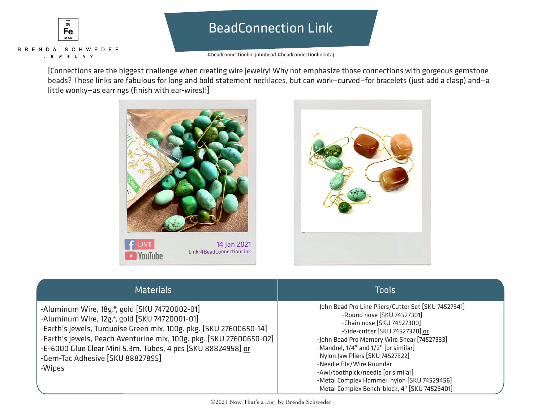

# BeadConnection Link

#beadconnectionlinkjohnbead #beadconnectionlinkntaj

[Connections are the biggest challenge when creating wire jewelry! Why not emphasize those connections with gorgeous gemstone beads? These links are fabulous for long and bold statement necklaces, but can work—curved—for bracelets (just add a clasp) and—a little wonky—as earrings (finish with ear-wires)!]





| <b>Materials</b>                                                                                                                                                                                                                                                                                                                                          | <b>Tools</b>                                                                                                                                                                                                                                                                                                                                                                                                                                     |
|-----------------------------------------------------------------------------------------------------------------------------------------------------------------------------------------------------------------------------------------------------------------------------------------------------------------------------------------------------------|--------------------------------------------------------------------------------------------------------------------------------------------------------------------------------------------------------------------------------------------------------------------------------------------------------------------------------------------------------------------------------------------------------------------------------------------------|
| -Aluminum Wire, 18g.*, gold [SKU 74720002-01]<br>-Aluminum Wire, 12g.*, gold [SKU 74720001-01]<br>-Earth's Jewels, Turquoise Green mix, 100g. pkg. [SKU 27600650-14]<br>-Earth's Jewels, Peach Aventurine mix, 100g. pkg. [SKU 27600650-02]<br>-E-6000 Glue Clear Mini 5.3m. Tubes, 4 pcs [SKU 88824958] or<br>-Gem-Tac Adhesive [SKU 88827895]<br>-Wipes | -John Bead Pro Line Pliers/Cutter Set [SKU 74527341]<br>-Round nose [SKU 74527301]<br>-Chain nose [SKU 74527300]<br>-Side-cutter [SKU 74527320] or<br>-John Bead Pro Memory Wire Shear [74527333]<br>-Mandrel, 1/4" and 1/2" [or similar]<br>-Nylon Jaw Pliers [SKU 74527322]<br>-Needle file/Wire Rounder<br>-Awl/toothpick/needle [or similar]<br>-Metal Complex Hammer, nylon [SKU 74529456]<br>-Metal Complex Bench-block, 4" [SKU 74529401] |